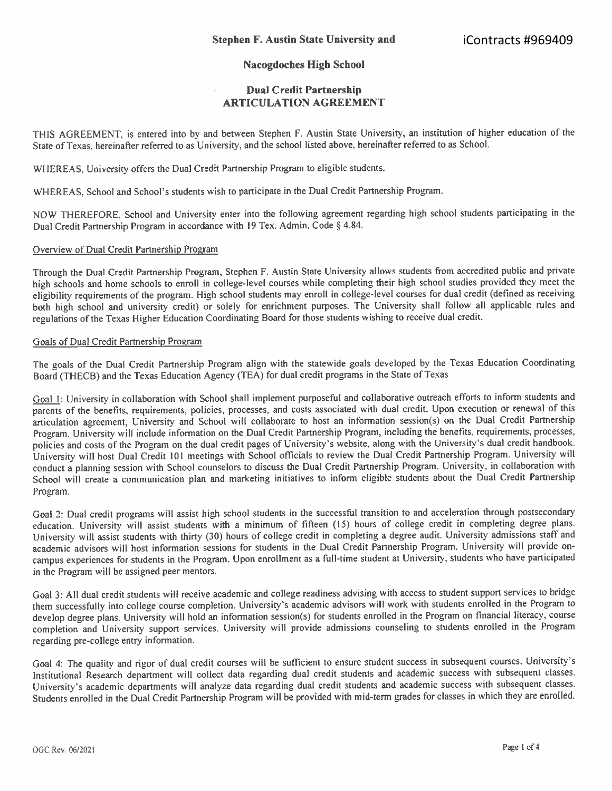## **Nacogdoches High School**

## **Dual Credit Partnership ARTICULATION AGREEMENT**

THIS AGREEMENT, is entered into by and between Stephen F. Austin State University, an institution of higher education of the State of Texas, hereinafter referred to as University, and the school listed above, hereinafter referred to as School.

WHEREAS, University offers the Dual Credit Partnership Program to eligible students.

WHEREAS, School and School's students wish to participate in the Dual Credit Partnership Program.

NOW THEREFORE, School and University enter into the following agreement regarding high school students participating in the Dual Credit Partnership Program in accordance with 19 Tex. Admin. Code§ 4.84.

## Overview of Dual Credit Partnership Program

Through the Dual Credit Partnership Program, Stephen F. Austin State University allows students from accredited public and private high schools and home schools to enroll in college-level courses while completing their high school studies provided they meet the eligibility requirements of the program. High school students may enroll in college-level courses for dual credit (defined as receiving both high school and university credit) or solely for enrichment purposes. The University shall follow all applicable rules and regulations of the Texas Higher Education Coordinating Board for those students wishing to receive dual credit.

## Goals of Dual Credit Partnership Program

The goals of the Dual Credit Partnership Program align with the statewide goals developed by the Texas Education Coordinating Board (THECB) and the Texas Education Agency (TEA) for dual credit programs in the State of Texas

Goal 1: University in collaboration with School shall implement purposeful and collaborative outreach efforts to inform students and parents of the benefits, requirements, policies, processes, and costs associated with dual credit. Upon execution or renewal of this articulation agreement, University and School will collaborate to host an information session(s) on the Dual Credit Partnership Program. University will include information on the Dual Credit Partnership Program, including the benefits, requirements, processes, policies and costs of the Program on the dual credit pages of University's website, along with the University's dual credit handbook. University will host Dual Credit 101 meetings with School officials to review the Dual Credit Partnership Program. University will conduct a planning session with School counselors to discuss the Dual Credit Partnership Program. University, in collaboration with School will create a communication plan and marketing initiatives to inform eligible students about the Dual Credit Partnership Program.

Goal 2: Dual credit programs will assist high school students in the successful transition to and acceleration through postsecondary education. University will assist students with a minimum of fifteen (15) hours of college credit in completing degree plans. University will assist students with thirty (30) hours of college credit in completing a degree audit. University admissions staff and academic advisors will host information sessions for students in the Dual Credit Partnership Program. University will provide oncampus experiences for students in the Program. Upon enrollment as a full-time student at University, students who have participated in the Program will be assigned peer mentors.

Goal 3: All dual credit students will receive academic and college readiness advising with access to student support services to bridge them successfully into college course completion. University's academic advisors will work with students enrolled in the Program to develop degree plans. University will hold an information session(s) for students enrolled in the Program on financial literacy, course completion and University support services. University will provide admissions counseling to students enrolled in the Program regarding pre-college entry information.

Goal 4: The quality and rigor of dual credit courses will be sufficient to ensure student success in subsequent courses. University's Institutional Research department will collect data regarding dual credit students and academic success with subsequent classes. University's academic departments will analyze data regarding dual credit students and academic success with subsequent classes. Students enrolled in the Dual Credit Partnership Program will be provided with mid-term grades for classes in which they are enrolled.